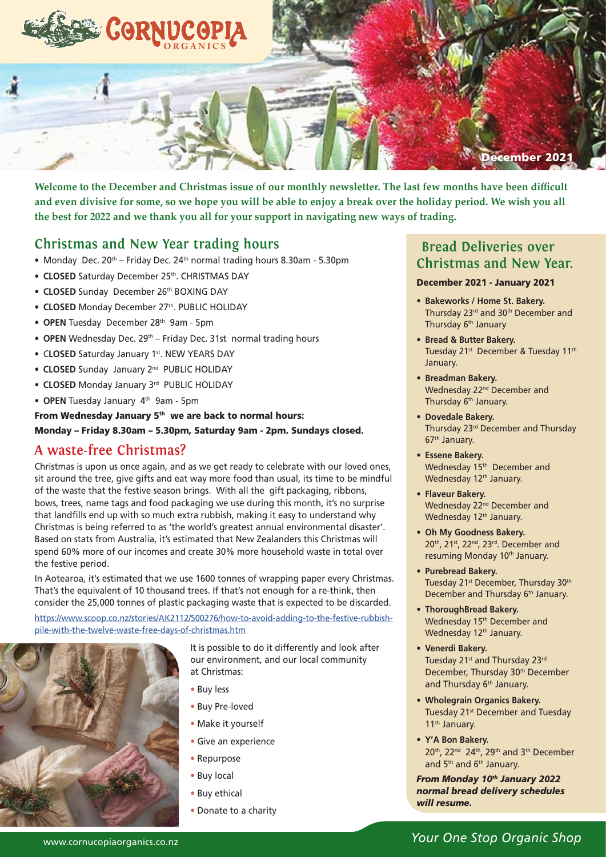

**Welcome to the December and Christmas issue of our monthly newsletter. The last few months have been difficult and even divisive for some, so we hope you will be able to enjoy a break over the holiday period. We wish you all the best for 2022 and we thank you all for your support in navigating new ways of trading.**

### **Christmas and New Year trading hours**

- Monday Dec.  $20^{th}$  Friday Dec.  $24^{th}$  normal trading hours 8.30am 5.30pm
- **CLOSED** Saturday December 25<sup>th</sup>. CHRISTMAS DAY
- **CLOSED** Sunday December 26th BOXING DAY
- **CLOSED** Monday December 27<sup>th</sup>. PUBLIC HOLIDAY
- **OPEN** Tuesday December 28th 9am 5pm
- **OPEN** Wednesday Dec. 29<sup>th</sup> Friday Dec. 31st normal trading hours
- C**LOSED** Saturday January 1st. NEW YEARS DAY
- **CLOSED** Sunday January 2nd PUBLIC HOLIDAY
- **CLOSED** Monday January 3rd PUBLIC HOLIDAY
- **OPEN** Tuesday January 4th 9am 5pm

From Wednesday January 5<sup>th</sup> we are back to normal hours:

Monday – Friday 8.30am – 5.30pm, Saturday 9am - 2pm. Sundays closed.

### **A waste-free Christmas?**

Christmas is upon us once again, and as we get ready to celebrate with our loved ones, sit around the tree, give gifts and eat way more food than usual, its time to be mindful of the waste that the festive season brings. With all the gift packaging, ribbons, bows, trees, name tags and food packaging we use during this month, it's no surprise that landfills end up with so much extra rubbish, making it easy to understand why Christmas is being referred to as 'the world's greatest annual environmental disaster'. Based on stats from Australia, it's estimated that New Zealanders this Christmas will spend 60% more of our incomes and create 30% more household waste in total over the festive period.

In Aotearoa, it's estimated that we use 1600 tonnes of wrapping paper every Christmas. That's the equivalent of 10 thousand trees. If that's not enough for a re-think, then consider the 25,000 tonnes of plastic packaging waste that is expected to be discarded.

https://www.scoop.co.nz/stories/AK2112/S00276/how-to-avoid-adding-to-the-festive-rubbishpile-with-the-twelve-waste-free-days-of-christmas.htm



It is possible to do it differently and look after our environment, and our local community at Christmas:

- Buy less
- Buy Pre-loved
- Make it yourself
- Give an experience
- Repurpose
- Buy local
- Buy ethical
- Donate to a charity

### **Bread Deliveries over Christmas and New Year.**

#### December 2021 - January 2021

- **• Bakeworks / Home St. Bakery.** Thursday 23<sup>rd</sup> and 30<sup>th</sup> December and Thursday 6<sup>th</sup> January
- **• Bread & Butter Bakery.**  Tuesday 21<sup>st</sup> December & Tuesday 11<sup>th</sup> January.
- **• Breadman Bakery.** Wednesday 22<sup>nd</sup> December and Thursday 6<sup>th</sup> January.
- **• Dovedale Bakery.**  Thursday 23<sup>rd</sup> December and Thursday 67th January.
- **• Essene Bakery.** Wednesday 15<sup>th</sup> December and Wednesday 12<sup>th</sup> January.
- **• Flaveur Bakery.** Wednesday 22<sup>nd</sup> December and Wednesday 12<sup>th</sup> January.
- **Oh My Goodness Bakery.** 20<sup>th</sup>, 21<sup>st</sup>, 22<sup>nd</sup>, 23<sup>rd</sup>. December and resuming Monday 10<sup>th</sup> January.
- **Purebread Bakery.** Tuesday 21<sup>st</sup> December, Thursday 30<sup>th</sup> December and Thursday 6<sup>th</sup> January.
- **• ThoroughBread Bakery.**  Wednesday 15<sup>th</sup> December and Wednesday 12<sup>th</sup> January.
- **• Venerdi Bakery.** Tuesday 21<sup>st</sup> and Thursday 23<sup>rd</sup> December, Thursday 30<sup>th</sup> December and Thursday 6<sup>th</sup> January.
- **• Wholegrain Organics Bakery.** Tuesday 21<sup>st</sup> December and Tuesday 11th January.
- **• Y'A Bon Bakery.**  20<sup>th</sup>, 22<sup>nd</sup> 24<sup>th</sup>, 29<sup>th</sup> and 3<sup>th</sup> December and 5<sup>th</sup> and 6<sup>th</sup> January.

*From Monday 10th January 2022 normal bread delivery schedules will resume.*